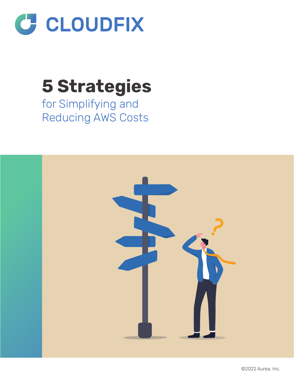

# **5 Strategies**

for Simplifying and Reducing AWS Costs

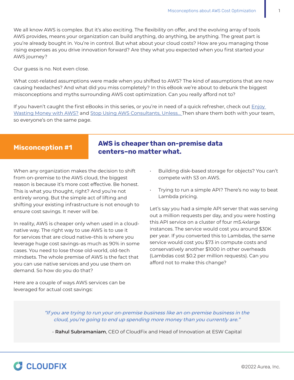We all know AWS is complex. But it's also exciting. The flexibility on offer, and the evolving array of tools AWS provides, means your organization can build anything, do anything, be anything. The great part is you're already bought in. You're in control. But what about your cloud costs? How are you managing those rising expenses as you drive innovation forward? Are they what you expected when you first started your AWS journey?

Our guess is no. Not even close.

What cost-related assumptions were made when you shifted to AWS? The kind of assumptions that are now causing headaches? And what did you miss completely? In this eBook we're about to debunk the biggest misconceptions and myths surrounding AWS cost optimization. Can you really afford not to?

If you haven't caught the first eBooks in this series, or you're in need of a quick refresher, check out **Enjoy** [Wasting Money with AWS?](https://cloudfix.com/resources/ebooks/enjoy-wasting-money-with-aws/) and [Stop Using AWS Consultants, Unless…](https://cloudfix.com/resources/ebooks/stop-using-aws-consultants-unless/) Then share them both with your team, so everyone's on the same page.

# **AWS is cheaper than on-premise data**  Misconception #1 **CANS IS CHEAPET CHAILON**<br>centers-no matter what.

When any organization makes the decision to shift from on-premise to the AWS cloud, the biggest reason is because it's more cost effective. Be honest. This is what you thought, right? And you're not entirely wrong. But the simple act of lifting and shifting your existing infrastructure is not enough to ensure cost savings. It never will be.

In reality, AWS is cheaper only when used in a cloudnative way. The right way to use AWS is to use it for services that are cloud native–this is where you leverage huge cost savings–as much as 90% in some cases. You need to lose those old-world, old-tech mindsets. The whole premise of AWS is the fact that you can use native services and you use them on demand. So how do you do that?

Here are a couple of ways AWS services can be leveraged for actual cost savings:

- Building disk-based storage for objects? You can't compete with S3 on AWS.
- Trying to run a simple API? There's no way to beat Lambda pricing.

Let's say you had a simple API server that was serving out a million requests per day, and you were hosting this API service on a cluster of four m5.4xlarge instances. The service would cost you around \$30K per year. If you converted this to Lambdas, the same service would cost you \$73 in compute costs and conservatively another \$1000 in other overheads (Lambdas cost \$0.2 per million requests). Can you afford not to make this change?

"If you are trying to run your on-premise business like an on-premise business in the cloud, you're going to end up spending more money than you currently are."

- **Rahul Subramaniam**, CEO of CloudFix and Head of Innovation at ESW Capital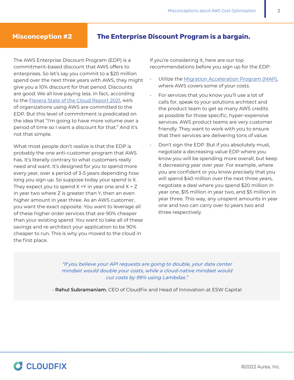### **Misconception #2 The Enterprise Discount Program is a bargain.**

The AWS Enterprise Discount Program (EDP) is a commitment-based discount that AWS offers to enterprises. So let's say you commit to a \$20 million spend over the next three years with AWS, they might give you a 10% discount for that period. Discounts are good. We all love paying less. In fact, according to the [Flexera State of the Cloud Report 2021,](https://info.flexera.com/CM-REPORT-State-of-the-Cloud) 44% of organizations using AWS are committed to the EDP. But this level of commitment is predicated on the idea that "I'm going to have more volume over a period of time so I want a discount for that." And it's not that simple.

What most people don't realize is that the EDP is probably the one anti-customer program that AWS has. It's literally contrary to what customers really need and want. It's designed for you to spend more every year, over a period of 3-5 years depending how long you sign up. So suppose today your spend is X. They expect you to spend  $X + Y$  in year one and  $X + Z$ in year two where Z is greater than Y, then an even higher amount in year three. As an AWS customer, you want the exact opposite. You want to leverage all of these higher order services that are 90% cheaper than your existing spend. You want to take all of these savings and re-architect your application to be 90% cheaper to run. This is why you moved to the cloud in the first place.

If you're considering it, here are our top recommendations before you sign up for the EDP:

- Utilize the [Migration Acceleration Program \(MAP\)](https://aws.amazon.com/migration-acceleration-program/), where AWS covers some of your costs.
- For services that you know you'll use a lot of calls for, speak to your solutions architect and the product team to get as many AWS credits as possible for those specific, hyper-expensive services. AWS product teams are very customer friendly. They want to work with you to ensure that their services are delivering tons of value.
- Don't sign the EDP. But if you absolutely must, negotiate a decreasing value EDP where you know you will be spending more overall, but keep it decreasing year over year. For example, where you are confident or you know precisely that you will spend \$40 million over the next three years, negotiate a deal where you spend \$20 million in year one, \$15 million in year two, and \$5 million in year three. This way, any unspent amounts in year one and two can carry over to years two and three respectively.

"If you believe your API requests are going to double, your data center mindset would double your costs, while a cloud-native mindset would cut costs by 99% using Lambdas."

- **Rahul Subramaniam**, CEO of CloudFix and Head of Innovation at ESW Capital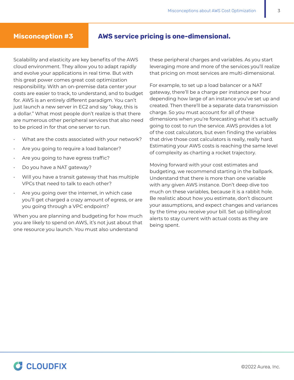### **Misconception #3 AWS service pricing is one-dimensional.**

Scalability and elasticity are key benefits of the AWS cloud environment. They allow you to adapt rapidly and evolve your applications in real time. But with this great power comes great cost optimization responsibility. With an on-premise data center your costs are easier to track, to understand, and to budget for. AWS is an entirely different paradigm. You can't just launch a new server in EC2 and say "okay, this is a dollar." What most people don't realize is that there are numerous other peripheral services that also need to be priced in for that one server to run.

- What are the costs associated with your network?
- Are you going to require a load balancer?
- Are you going to have egress traffic?
- Do you have a NAT gateway?
- Will you have a transit gateway that has multiple VPCs that need to talk to each other?
- Are you going over the internet, in which case you'll get charged a crazy amount of egress, or are you going through a VPC endpoint?

When you are planning and budgeting for how much you are likely to spend on AWS, it's not just about that one resource you launch. You must also understand

these peripheral charges and variables. As you start leveraging more and more of the services you'll realize that pricing on most services are multi-dimensional.

For example, to set up a load balancer or a NAT gateway, there'll be a charge per instance per hour depending how large of an instance you've set up and created. Then there'll be a separate data transmission charge. So you must account for all of these dimensions when you're forecasting what it's actually going to cost to run the service. AWS provides a lot of the cost calculators, but even finding the variables that drive those cost calculators is really, really hard. Estimating your AWS costs is reaching the same level of complexity as charting a rocket trajectory.

Moving forward with your cost estimates and budgeting, we recommend starting in the ballpark. Understand that there is more than one variable with any given AWS instance. Don't deep dive too much on these variables, because it is a rabbit hole. Be realistic about how you estimate, don't discount your assumptions, and expect changes and variances by the time you receive your bill. Set up billing/cost alerts to stay current with actual costs as they are being spent.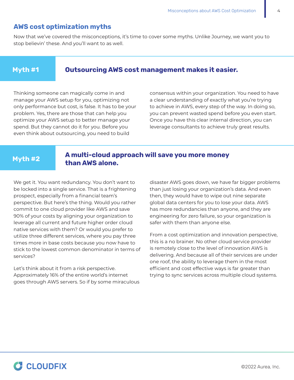### **AWS cost optimization myths**

Now that we've covered the misconceptions, it's time to cover some myths. Unlike Journey, we want you to stop believin' these. And you'll want to as well.

# **Myth #1 Outsourcing AWS cost management makes it easier.**

Thinking someone can magically come in and manage your AWS setup for you, optimizing not only performance but cost, is false. It has to be your problem. Yes, there are those that can help you optimize your AWS setup to better manage your spend. But they cannot do it for you. Before you even think about outsourcing, you need to build

consensus within your organization. You need to have a clear understanding of exactly what you're trying to achieve in AWS, every step of the way. In doing so, you can prevent wasted spend before you even start. Once you have this clear internal direction, you can leverage consultants to achieve truly great results.

# **A multi-cloud approach will save you more money than AWS alone. Myth #2**

We get it. You want redundancy. You don't want to be locked into a single service. That is a frightening prospect, especially from a financial team's perspective. But here's the thing. Would you rather commit to one cloud provider like AWS and save 90% of your costs by aligning your organization to leverage all current and future higher order cloud native services with them? Or would you prefer to utilize three different services, where you pay three times more in base costs because you now have to stick to the lowest common denominator in terms of services?

Let's think about it from a risk perspective. Approximately 16% of the entire world's internet goes through AWS servers. So if by some miraculous

disaster AWS goes down, we have far bigger problems than just losing your organization's data. And even then, they would have to wipe out nine separate global data centers for you to lose your data. AWS has more redundancies than anyone, and they are engineering for zero failure, so your organization is safer with them than anyone else.

From a cost optimization and innovation perspective, this is a no brainer. No other cloud service provider is remotely close to the level of innovation AWS is delivering. And because all of their services are under one roof, the ability to leverage them in the most efficient and cost effective ways is far greater than trying to sync services across multiple cloud systems.